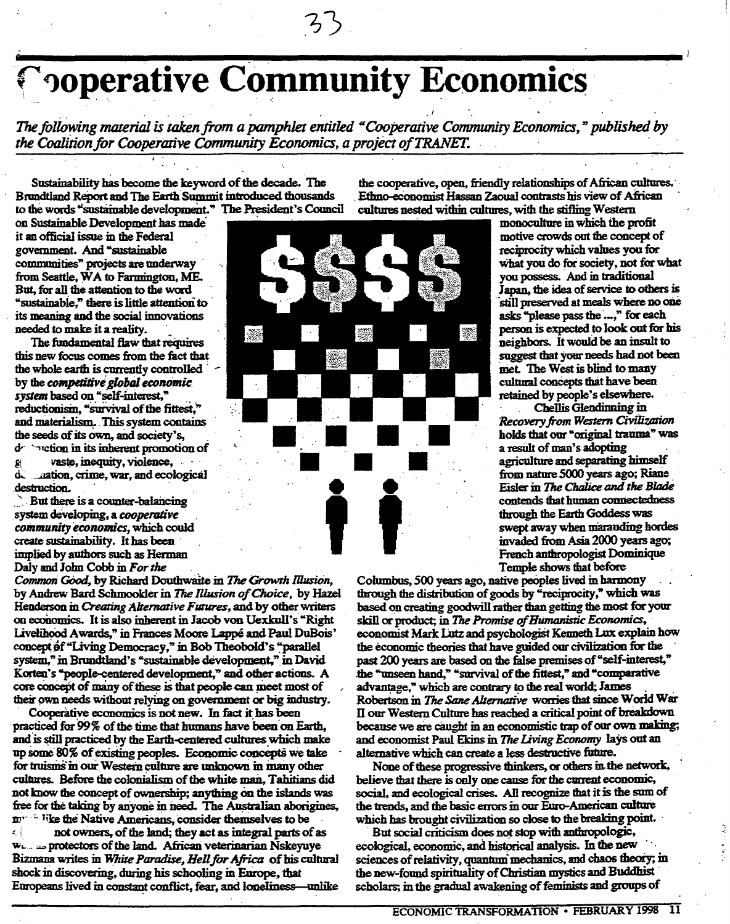## , ' , **Toperative Community Economi**

スト

*The following material is taken from a pamphlet entitled "Cooperative Community Economics," published by the Coalition for Cooperative Community Economics, a project ofTRANEI'.* " '

Sustainability has become the keyword of the decade. The Brundtland Report and The Earth Summit introduced thousands to the words "sustamable development." The President's Council

on Sustainable Development has made it an official issue in the Federal government. And "sustainable communities" projects are underway from Seattle, WA to Farmington, ME. But, for all the atteotion to the word "sustainable," there is little attention to its meaning and the social innovations needed to make it a reality.

The fundamental flaw that requires this new focus comes from the fact that the whole earth is currently controlled by the *competitive* global economic *system* based on "self-mterest, " reductionism, "survival of the fittest," and materialism. This system contains the seeds of its own, and society's,  $d^2$  inction in its inherent promotic dr retion in its inherent promotion of  $g$  vaste, inequity, violence,  $d_{\text{c}}$  antion crime, war and ecologies  $\ldots$  aation, crime, war, and ecological destruction.

 $\sum$  But there is a counter-balancing system developing, a *cooperative* community economics, which could create sustainability. It has been implied by authors such as Herman Daly and John Cobb in *For the ,*

*Commmi GOod,* by Richard Douthwaite in *The Growth IllusiOn,* by Andrew Bard Schmookler in *The Rlusion of Choice,* by Hazel Henderson in *Creating Alternative Futures*, and by other writers on economics. It is also inherent in Jacob von Uexkull's "Right" Livelihood Awards," in Frances Moore Lappe and Paul DuBois' concept of "Living Democracy," in Bob Theobold's "parallel system," in Brundtland's "sustainable development," in David Korten's '"people-centered development," and other actions. A core concept of many of these is that people can meet most of their own needs without relying on government or big industry.

Cooperative economics is not new. In fact it has been 'pmcticed for 99% of the time that humans have been on Earth. and is still practiced by the Earth-centered cultures which make up some 80% of existing peoples. Economic concepts we take for truisms in our Western culture are unknown in many other cultures. Before the colonialism of the white man. T a hitians did not know the concept of ownetsbip; anything On the islands was free for the taking by anyone in need. The Australian aborigines, m<sup>-1</sup> like the Native Americans, consider themselves to be

 $\mathbf{C}$ not oWners, of the Jand; they act as integrai parts of as We... as protectors of the land. African veterinarian Nskeyuye Bizmana writes in *White Paradise*, *Hell for Africa* of his cultural shock in discovering, during his schooling in Europe, that Europeans lived in constant conflict, fear, and loneliness--unlike



the cooperative, open, friendly relationships of African cultores. ' , Ethno-economist Hassan Zaoual contrasts his view of African cultures nested within cultures, with the stifling Western

> monoculture in which the profit motive crowds out the concept of reciprocity which values you for what you do for society, not for what you possess. And in traditional Japan. the idea of service to others is still preserved at meals where no one asks "please pass the ...," for each person is expected to look out for his neighbors. It would be an insult to suggest that your needs had not been met. The West is blind to many cultural concepts that have been retained by people's elsewhere.

Chellis Glendinning in. *Recovery from Western Civilization* holds that our "original trauma" was a result of man's adopting agriculture and separating himself from nature 5000 years ago; Riane Eisler in *The Chtilice and the Blade* contends that human connectedness through the Earth Goddess was swept away when marauding hordes invaded from Asia 2000 years ago; French anthropologist Dominique Temple shows that before

Columbus, 500 years ago, native peoples lived in harmony through the distribution of goods by "reciprocity," which was based on creating goodwill rather than getting the most for your skill or product; in *The Promise ofBUmanistic Economics, '* economist Mark Lutz and psychologist Kenneth Lux explain how the economic theories that have guided our civilization for the past 200 years are based on the false premises of "self-interest," the "unseen hand," "survival of the fittest," and "comparative advantage," which are contrary to the real world; James Robertson in *The Sane Alternative* worries that since World War Hour Western Cultme has reached a critical point of breakdown because we ate caught in an economistic trap of our own making; and economist Paul Ekins in *The living Economy* lays out an alternative which can create a less destructive future.

None of these progressive thinkers, or others in the network, believe that there is only one cause for the current economic, social, and ecological crises. All recognize that it is the sum of the trends, and the basic errors in our Euro-American culture which has brought civilization so close to the breaking point.

But social criticism does not stop with anthropologic. ecological, economic, and historical analysis. In the new sciences of relativity, quantum mechanics, and chaos theory; in the new-found spirituality of Christian mystics and Buddhist scholars; in the gradual awakening of feminists and groups of